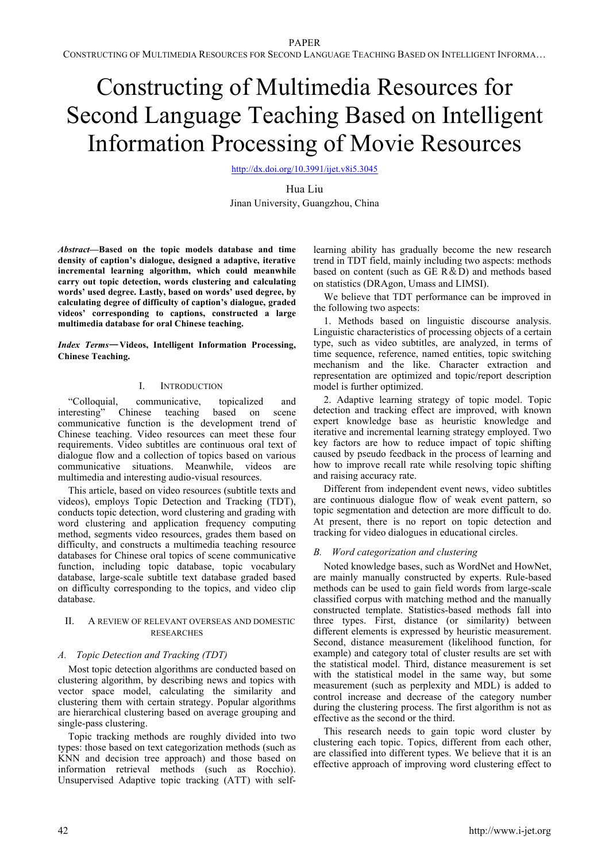CONSTRUCTING OF MULTIMEDIA RESOURCES FOR SECOND LANGUAGE TEACHING BASED ON INTELLIGENT INFORMA…

# Constructing of Multimedia Resources for Second Language Teaching Based on Intelligent Information Processing of Movie Resources

http://dx.doi.org/10.3991/ijet.v8i5.3045

Hua Liu Jinan University, Guangzhou, China

*Abstract***—Based on the topic models database and time density of caption's dialogue, designed a adaptive, iterative incremental learning algorithm, which could meanwhile carry out topic detection, words clustering and calculating words' used degree. Lastly, based on words' used degree, by calculating degree of difficulty of caption's dialogue, graded videos' corresponding to captions, constructed a large multimedia database for oral Chinese teaching.**

Index Terms-Videos, Intelligent Information Processing, **Chinese Teaching.** 

# I. INTRODUCTION

"Colloquial, communicative, topicalized and interesting" Chinese teaching based on scene Chinese teaching based on scene communicative function is the development trend of Chinese teaching. Video resources can meet these four requirements. Video subtitles are continuous oral text of dialogue flow and a collection of topics based on various communicative situations. Meanwhile, videos are multimedia and interesting audio-visual resources.

This article, based on video resources (subtitle texts and videos), employs Topic Detection and Tracking (TDT), conducts topic detection, word clustering and grading with word clustering and application frequency computing method, segments video resources, grades them based on difficulty, and constructs a multimedia teaching resource databases for Chinese oral topics of scene communicative function, including topic database, topic vocabulary database, large-scale subtitle text database graded based on difficulty corresponding to the topics, and video clip database.

## II. A REVIEW OF RELEVANT OVERSEAS AND DOMESTIC RESEARCHES

## *A. Topic Detection and Tracking (TDT)*

Most topic detection algorithms are conducted based on clustering algorithm, by describing news and topics with vector space model, calculating the similarity and clustering them with certain strategy. Popular algorithms are hierarchical clustering based on average grouping and single-pass clustering.

Topic tracking methods are roughly divided into two types: those based on text categorization methods (such as KNN and decision tree approach) and those based on information retrieval methods (such as Rocchio). Unsupervised Adaptive topic tracking (ATT) with selflearning ability has gradually become the new research trend in TDT field, mainly including two aspects: methods based on content (such as  $GE R&D$ ) and methods based on statistics (DRAgon, Umass and LIMSI).

We believe that TDT performance can be improved in the following two aspects:

1. Methods based on linguistic discourse analysis. Linguistic characteristics of processing objects of a certain type, such as video subtitles, are analyzed, in terms of time sequence, reference, named entities, topic switching mechanism and the like. Character extraction and representation are optimized and topic/report description model is further optimized.

2. Adaptive learning strategy of topic model. Topic detection and tracking effect are improved, with known expert knowledge base as heuristic knowledge and iterative and incremental learning strategy employed. Two key factors are how to reduce impact of topic shifting caused by pseudo feedback in the process of learning and how to improve recall rate while resolving topic shifting and raising accuracy rate.

Different from independent event news, video subtitles are continuous dialogue flow of weak event pattern, so topic segmentation and detection are more difficult to do. At present, there is no report on topic detection and tracking for video dialogues in educational circles.

# *B. Word categorization and clustering*

Noted knowledge bases, such as WordNet and HowNet, are mainly manually constructed by experts. Rule-based methods can be used to gain field words from large-scale classified corpus with matching method and the manually constructed template. Statistics-based methods fall into three types. First, distance (or similarity) between different elements is expressed by heuristic measurement. Second, distance measurement (likelihood function, for example) and category total of cluster results are set with the statistical model. Third, distance measurement is set with the statistical model in the same way, but some measurement (such as perplexity and MDL) is added to control increase and decrease of the category number during the clustering process. The first algorithm is not as effective as the second or the third.

This research needs to gain topic word cluster by clustering each topic. Topics, different from each other, are classified into different types. We believe that it is an effective approach of improving word clustering effect to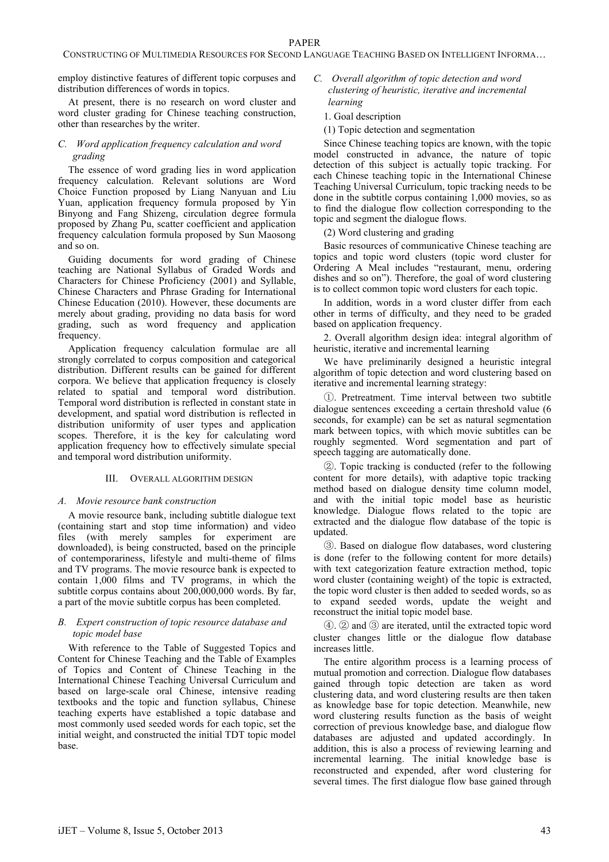employ distinctive features of different topic corpuses and distribution differences of words in topics.

At present, there is no research on word cluster and word cluster grading for Chinese teaching construction, other than researches by the writer.

## *C. Word application frequency calculation and word grading*

The essence of word grading lies in word application frequency calculation. Relevant solutions are Word Choice Function proposed by Liang Nanyuan and Liu Yuan, application frequency formula proposed by Yin Binyong and Fang Shizeng, circulation degree formula proposed by Zhang Pu, scatter coefficient and application frequency calculation formula proposed by Sun Maosong and so on.

Guiding documents for word grading of Chinese teaching are National Syllabus of Graded Words and Characters for Chinese Proficiency (2001) and Syllable, Chinese Characters and Phrase Grading for International Chinese Education (2010). However, these documents are merely about grading, providing no data basis for word grading, such as word frequency and application frequency.

Application frequency calculation formulae are all strongly correlated to corpus composition and categorical distribution. Different results can be gained for different corpora. We believe that application frequency is closely related to spatial and temporal word distribution. Temporal word distribution is reflected in constant state in development, and spatial word distribution is reflected in distribution uniformity of user types and application scopes. Therefore, it is the key for calculating word application frequency how to effectively simulate special and temporal word distribution uniformity.

### III. OVERALL ALGORITHM DESIGN

### *A. Movie resource bank construction*

A movie resource bank, including subtitle dialogue text (containing start and stop time information) and video files (with merely samples for experiment are downloaded), is being constructed, based on the principle of contemporariness, lifestyle and multi-theme of films and TV programs. The movie resource bank is expected to contain 1,000 films and TV programs, in which the subtitle corpus contains about 200,000,000 words. By far, a part of the movie subtitle corpus has been completed.

### *B. Expert construction of topic resource database and topic model base*

With reference to the Table of Suggested Topics and Content for Chinese Teaching and the Table of Examples of Topics and Content of Chinese Teaching in the International Chinese Teaching Universal Curriculum and based on large-scale oral Chinese, intensive reading textbooks and the topic and function syllabus, Chinese teaching experts have established a topic database and most commonly used seeded words for each topic, set the initial weight, and constructed the initial TDT topic model base.

- *C. Overall algorithm of topic detection and word clustering of heuristic, iterative and incremental learning*
	- 1. Goal description
	- (1) Topic detection and segmentation

Since Chinese teaching topics are known, with the topic model constructed in advance, the nature of topic detection of this subject is actually topic tracking. For each Chinese teaching topic in the International Chinese Teaching Universal Curriculum, topic tracking needs to be done in the subtitle corpus containing 1,000 movies, so as to find the dialogue flow collection corresponding to the topic and segment the dialogue flows.

(2) Word clustering and grading

Basic resources of communicative Chinese teaching are topics and topic word clusters (topic word cluster for Ordering A Meal includes "restaurant, menu, ordering dishes and so on"). Therefore, the goal of word clustering is to collect common topic word clusters for each topic.

In addition, words in a word cluster differ from each other in terms of difficulty, and they need to be graded based on application frequency.

2. Overall algorithm design idea: integral algorithm of heuristic, iterative and incremental learning

We have preliminarily designed a heuristic integral algorithm of topic detection and word clustering based on iterative and incremental learning strategy:

-. Pretreatment. Time interval between two subtitle dialogue sentences exceeding a certain threshold value (6 seconds, for example) can be set as natural segmentation mark between topics, with which movie subtitles can be roughly segmented. Word segmentation and part of speech tagging are automatically done.

. Topic tracking is conducted (refer to the following content for more details), with adaptive topic tracking method based on dialogue density time column model. and with the initial topic model base as heuristic knowledge. Dialogue flows related to the topic are extracted and the dialogue flow database of the topic is updated.

. Based on dialogue flow databases, word clustering is done (refer to the following content for more details) with text categorization feature extraction method, topic word cluster (containing weight) of the topic is extracted, the topic word cluster is then added to seeded words, so as to expand seeded words, update the weight and reconstruct the initial topic model base.

 $\Phi$ .  $\Phi$  and  $\Phi$  are iterated, until the extracted topic word cluster changes little or the dialogue flow database increases little.

The entire algorithm process is a learning process of mutual promotion and correction. Dialogue flow databases gained through topic detection are taken as word clustering data, and word clustering results are then taken as knowledge base for topic detection. Meanwhile, new word clustering results function as the basis of weight correction of previous knowledge base, and dialogue flow databases are adjusted and updated accordingly. In addition, this is also a process of reviewing learning and incremental learning. The initial knowledge base is reconstructed and expended, after word clustering for several times. The first dialogue flow base gained through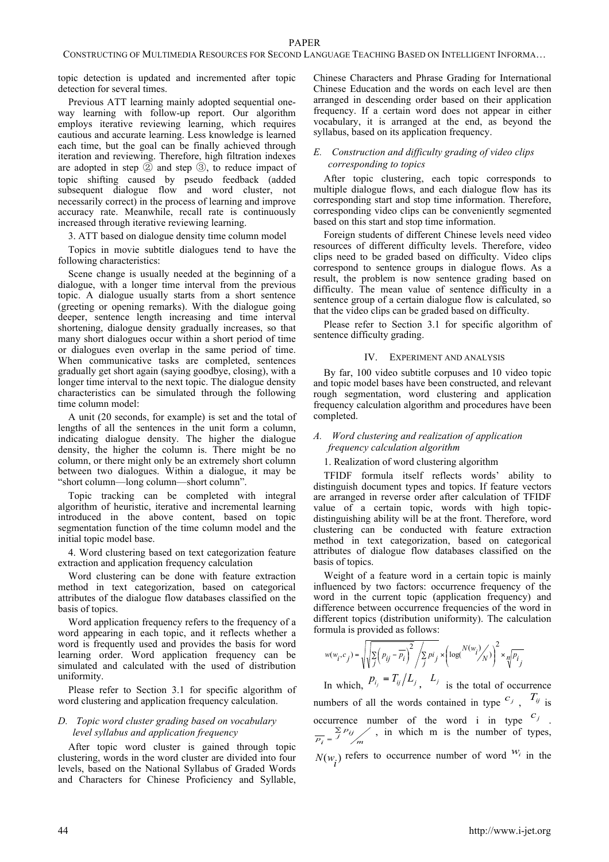topic detection is updated and incremented after topic detection for several times.

Previous ATT learning mainly adopted sequential oneway learning with follow-up report. Our algorithm employs iterative reviewing learning, which requires cautious and accurate learning. Less knowledge is learned each time, but the goal can be finally achieved through iteration and reviewing. Therefore, high filtration indexes are adopted in step  $\circled{2}$  and step  $\circled{3}$ , to reduce impact of topic shifting caused by pseudo feedback (added subsequent dialogue flow and word cluster, not necessarily correct) in the process of learning and improve accuracy rate. Meanwhile, recall rate is continuously increased through iterative reviewing learning.

3. ATT based on dialogue density time column model

Topics in movie subtitle dialogues tend to have the following characteristics:

Scene change is usually needed at the beginning of a dialogue, with a longer time interval from the previous topic. A dialogue usually starts from a short sentence (greeting or opening remarks). With the dialogue going deeper, sentence length increasing and time interval shortening, dialogue density gradually increases, so that many short dialogues occur within a short period of time or dialogues even overlap in the same period of time. When communicative tasks are completed, sentences gradually get short again (saying goodbye, closing), with a longer time interval to the next topic. The dialogue density characteristics can be simulated through the following time column model:

A unit (20 seconds, for example) is set and the total of lengths of all the sentences in the unit form a column, indicating dialogue density. The higher the dialogue density, the higher the column is. There might be no column, or there might only be an extremely short column between two dialogues. Within a dialogue, it may be "short column—long column—short column".

Topic tracking can be completed with integral algorithm of heuristic, iterative and incremental learning introduced in the above content, based on topic segmentation function of the time column model and the initial topic model base.

4. Word clustering based on text categorization feature extraction and application frequency calculation

Word clustering can be done with feature extraction method in text categorization, based on categorical attributes of the dialogue flow databases classified on the basis of topics.

Word application frequency refers to the frequency of a word appearing in each topic, and it reflects whether a word is frequently used and provides the basis for word learning order. Word application frequency can be simulated and calculated with the used of distribution uniformity.

Please refer to Section 3.1 for specific algorithm of word clustering and application frequency calculation.

# *D. Topic word cluster grading based on vocabulary level syllabus and application frequency*

After topic word cluster is gained through topic clustering, words in the word cluster are divided into four levels, based on the National Syllabus of Graded Words and Characters for Chinese Proficiency and Syllable, Chinese Characters and Phrase Grading for International Chinese Education and the words on each level are then arranged in descending order based on their application frequency. If a certain word does not appear in either vocabulary, it is arranged at the end, as beyond the syllabus, based on its application frequency.

## *E. Construction and difficulty grading of video clips corresponding to topics*

After topic clustering, each topic corresponds to multiple dialogue flows, and each dialogue flow has its corresponding start and stop time information. Therefore, corresponding video clips can be conveniently segmented based on this start and stop time information.

Foreign students of different Chinese levels need video resources of different difficulty levels. Therefore, video clips need to be graded based on difficulty. Video clips correspond to sentence groups in dialogue flows. As a result, the problem is now sentence grading based on difficulty. The mean value of sentence difficulty in a sentence group of a certain dialogue flow is calculated, so that the video clips can be graded based on difficulty.

Please refer to Section 3.1 for specific algorithm of sentence difficulty grading.

## IV. EXPERIMENT AND ANALYSIS

By far, 100 video subtitle corpuses and 10 video topic and topic model bases have been constructed, and relevant rough segmentation, word clustering and application frequency calculation algorithm and procedures have been completed.

## *A. Word clustering and realization of application frequency calculation algorithm*

#### 1. Realization of word clustering algorithm

TFIDF formula itself reflects words' ability to distinguish document types and topics. If feature vectors are arranged in reverse order after calculation of TFIDF value of a certain topic, words with high topicdistinguishing ability will be at the front. Therefore, word clustering can be conducted with feature extraction method in text categorization, based on categorical attributes of dialogue flow databases classified on the basis of topics.

Weight of a feature word in a certain topic is mainly influenced by two factors: occurrence frequency of the word in the current topic (application frequency) and difference between occurrence frequencies of the word in different topics (distribution uniformity). The calculation formula is provided as follows:

$$
w(w_i, c_j) = \sqrt{\sqrt{\sum_{j} (p_{ij} - \overline{p}_i)^2} / \sum_{j} p_i / \sum_{j} k} \left( \log \frac{N(w_i)}{N} \right)^2 \times \sqrt{\frac{p_i}{N}}
$$
  

$$
p_i = T_{ij} / L_i, L_j
$$

In which,  $P_{i_j} = I_{ij}/L_j$ ,  $L_j$  is the total of occurrence numbers of all the words contained in type  $c_j$ ,  $T_{ij}$  is occurrence number of the word i in type  $c_j$ .  $\frac{\sum_i P_{ij}}{p_i} = \frac{\sum_i P_{ij}}{m}$  $\overline{\Sigma}$  $\sum_{j=1}^{\infty} P_{ij}$ , in which m is the number of types,  $N(w_i)$  refers to occurrence number of word  $w_i$  in the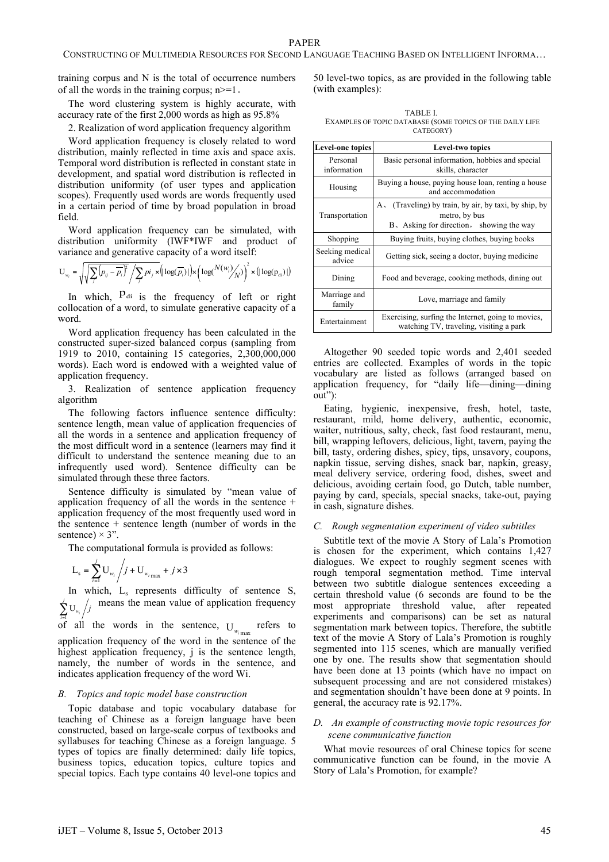training corpus and N is the total of occurrence numbers of all the words in the training corpus;  $n>=1$ .

The word clustering system is highly accurate, with accuracy rate of the first 2,000 words as high as 95.8%

2. Realization of word application frequency algorithm

Word application frequency is closely related to word distribution, mainly reflected in time axis and space axis. Temporal word distribution is reflected in constant state in development, and spatial word distribution is reflected in distribution uniformity (of user types and application scopes). Frequently used words are words frequently used in a certain period of time by broad population in broad field.

Word application frequency can be simulated, with distribution uniformity (IWF\*IWF and product of variance and generative capacity of a word itself:

$$
\mathbf{U}_{w_i} = \sqrt{\sqrt{\sum_j (p_{ij} - \overline{p_i})^2}} / \sum_j p_{ij} \times (\log(\overline{p_i}) |) \times (\log(N(w_i) / N)) \times (\log(p_{di}) |)
$$

In which,  $P_{di}$  is the frequency of left or right collocation of a word, to simulate generative capacity of a word.

Word application frequency has been calculated in the constructed super-sized balanced corpus (sampling from 1919 to 2010, containing 15 categories, 2,300,000,000 words). Each word is endowed with a weighted value of application frequency.

3. Realization of sentence application frequency algorithm

The following factors influence sentence difficulty: sentence length, mean value of application frequencies of all the words in a sentence and application frequency of the most difficult word in a sentence (learners may find it difficult to understand the sentence meaning due to an infrequently used word). Sentence difficulty can be simulated through these three factors.

Sentence difficulty is simulated by "mean value of application frequency of all the words in the sentence + application frequency of the most frequently used word in the sentence + sentence length (number of words in the sentence)  $\times$  3".

The computational formula is provided as follows:

$$
L_{s} = \sum_{i=1}^{j} U_{w_{i}} / j + U_{w_{i} \max} + j \times 3
$$

In which,  $L_s$  represents difficulty of sentence S,  $\int$  U<sub>w</sub>  $\int$  $\sum_{i=1}^{j}$  U<sub>*w<sub>i</sub>*</sub> *j* means the mean value of application frequency

of all the words in the sentence,  $U_{w_{i}}$  refers to application frequency of the word in the sentence of the highest application frequency, j is the sentence length, namely, the number of words in the sentence, and indicates application frequency of the word Wi.

#### *B. Topics and topic model base construction*

Topic database and topic vocabulary database for teaching of Chinese as a foreign language have been constructed, based on large-scale corpus of textbooks and syllabuses for teaching Chinese as a foreign language. 5 types of topics are finally determined: daily life topics, business topics, education topics, culture topics and special topics. Each type contains 40 level-one topics and 50 level-two topics, as are provided in the following table (with examples):

TABLE I. EXAMPLES OF TOPIC DATABASE (SOME TOPICS OF THE DAILY LIFE CATEGORY)

| Level-one topics          | Level-two topics                                                                                                      |  |  |  |
|---------------------------|-----------------------------------------------------------------------------------------------------------------------|--|--|--|
| Personal<br>information   | Basic personal information, hobbies and special<br>skills, character                                                  |  |  |  |
| Housing                   | Buying a house, paying house loan, renting a house<br>and accommodation                                               |  |  |  |
| Transportation            | (Traveling) by train, by air, by taxi, by ship, by<br>A.<br>metro, by bus<br>B, Asking for direction, showing the way |  |  |  |
| Shopping                  | Buying fruits, buying clothes, buying books                                                                           |  |  |  |
| Seeking medical<br>advice | Getting sick, seeing a doctor, buying medicine                                                                        |  |  |  |
| Dining                    | Food and beverage, cooking methods, dining out                                                                        |  |  |  |
| Marriage and<br>family    | Love, marriage and family                                                                                             |  |  |  |
| Entertainment             | Exercising, surfing the Internet, going to movies,<br>watching TV, traveling, visiting a park                         |  |  |  |

Altogether 90 seeded topic words and 2,401 seeded entries are collected. Examples of words in the topic vocabulary are listed as follows (arranged based on application frequency, for "daily life—dining—dining out"):

Eating, hygienic, inexpensive, fresh, hotel, taste, restaurant, mild, home delivery, authentic, economic, waiter, nutritious, salty, check, fast food restaurant, menu, bill, wrapping leftovers, delicious, light, tavern, paying the bill, tasty, ordering dishes, spicy, tips, unsavory, coupons, napkin tissue, serving dishes, snack bar, napkin, greasy, meal delivery service, ordering food, dishes, sweet and delicious, avoiding certain food, go Dutch, table number, paying by card, specials, special snacks, take-out, paying in cash, signature dishes.

### *C. Rough segmentation experiment of video subtitles*

Subtitle text of the movie A Story of Lala's Promotion is chosen for the experiment, which contains 1,427 dialogues. We expect to roughly segment scenes with rough temporal segmentation method. Time interval between two subtitle dialogue sentences exceeding a certain threshold value (6 seconds are found to be the most appropriate threshold value, after repeated experiments and comparisons) can be set as natural segmentation mark between topics. Therefore, the subtitle text of the movie A Story of Lala's Promotion is roughly segmented into 115 scenes, which are manually verified one by one. The results show that segmentation should have been done at 13 points (which have no impact on subsequent processing and are not considered mistakes) and segmentation shouldn't have been done at 9 points. In general, the accuracy rate is 92.17%.

## *D. An example of constructing movie topic resources for scene communicative function*

What movie resources of oral Chinese topics for scene communicative function can be found, in the movie A Story of Lala's Promotion, for example?